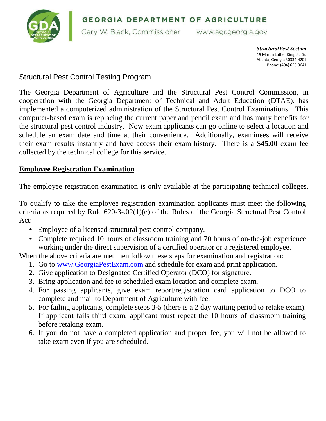

*Structural Pest Section* 19 Martin Luther King, Jr. Dr. Atlanta, Georgia 30334-4201 Phone: (404) 656-3641

## Structural Pest Control Testing Program

The Georgia Department of Agriculture and the Structural Pest Control Commission, in cooperation with the Georgia Department of Technical and Adult Education (DTAE), has implemented a computerized administration of the Structural Pest Control Examinations. This computer-based exam is replacing the current paper and pencil exam and has many benefits for the structural pest control industry. Now exam applicants can go online to select a location and schedule an exam date and time at their convenience. Additionally, examinees will receive their exam results instantly and have access their exam history. There is a **\$45.00** exam fee collected by the technical college for this service.

## **Employee Registration Examination**

The employee registration examination is only available at the participating technical colleges.

To qualify to take the employee registration examination applicants must meet the following criteria as required by Rule 620-3-.02(1)(e) of the Rules of the Georgia Structural Pest Control Act:

- Employee of a licensed structural pest control company.
- Complete required 10 hours of classroom training and 70 hours of on-the-job experience working under the direct supervision of a certified operator or a registered employee.

When the above criteria are met then follow these steps for examination and registration:

- 1. Go to [www.GeorgiaPestExam.com](http://www.georgiapestexam.com/) and schedule for exam and print application.
- 2. Give application to Designated Certified Operator (DCO) for signature.
- 3. Bring application and fee to scheduled exam location and complete exam.
- 4. For passing applicants, give exam report/registration card application to DCO to complete and mail to Department of Agriculture with fee.
- 5. For failing applicants, complete steps 3-5 (there is a 2 day waiting period to retake exam). If applicant fails third exam, applicant must repeat the 10 hours of classroom training before retaking exam.
- 6. If you do not have a completed application and proper fee, you will not be allowed to take exam even if you are scheduled.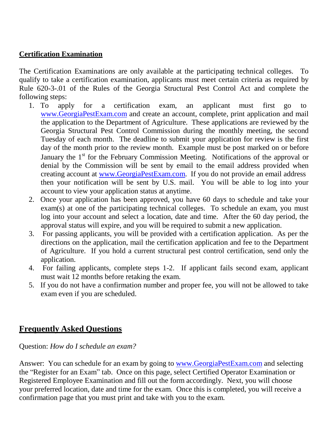## **Certification Examination**

The Certification Examinations are only available at the participating technical colleges. To qualify to take a certification examination, applicants must meet certain criteria as required by Rule 620-3-.01 of the Rules of the Georgia Structural Pest Control Act and complete the following steps:

- 1. To apply for a certification exam, an applicant must first go to [www.GeorgiaPestExam.com](http://www.georgiapestexam.com/) and create an account, complete, print application and mail the application to the Department of Agriculture. These applications are reviewed by the Georgia Structural Pest Control Commission during the monthly meeting, the second Tuesday of each month. The deadline to submit your application for review is the first day of the month prior to the review month. Example must be post marked on or before January the 1<sup>st</sup> for the February Commission Meeting. Notifications of the approval or denial by the Commission will be sent by email to the email address provided when creating account at [www.GeorgiaPestExam.com.](http://www.georgiapestexam.com/) If you do not provide an email address then your notification will be sent by U.S. mail. You will be able to log into your account to view your application status at anytime.
- 2. Once your application has been approved, you have 60 days to schedule and take your exam(s) at one of the participating technical colleges. To schedule an exam, you must log into your account and select a location, date and time. After the 60 day period, the approval status will expire, and you will be required to submit a new application.
- 3. For passing applicants, you will be provided with a certification application. As per the directions on the application, mail the certification application and fee to the Department of Agriculture. If you hold a current structural pest control certification, send only the application.
- 4. For failing applicants, complete steps 1-2. If applicant fails second exam, applicant must wait 12 months before retaking the exam.
- 5. If you do not have a confirmation number and proper fee, you will not be allowed to take exam even if you are scheduled.

## **Frequently Asked Questions**

Question: *How do I schedule an exam?*

Answer: You can schedule for an exam by going to [www.GeorgiaPestExam.com](http://www.georgiapestexam.com/) and selecting the "Register for an Exam" tab. Once on this page, select Certified Operator Examination or Registered Employee Examination and fill out the form accordingly. Next, you will choose your preferred location, date and time for the exam. Once this is completed, you will receive a confirmation page that you must print and take with you to the exam.